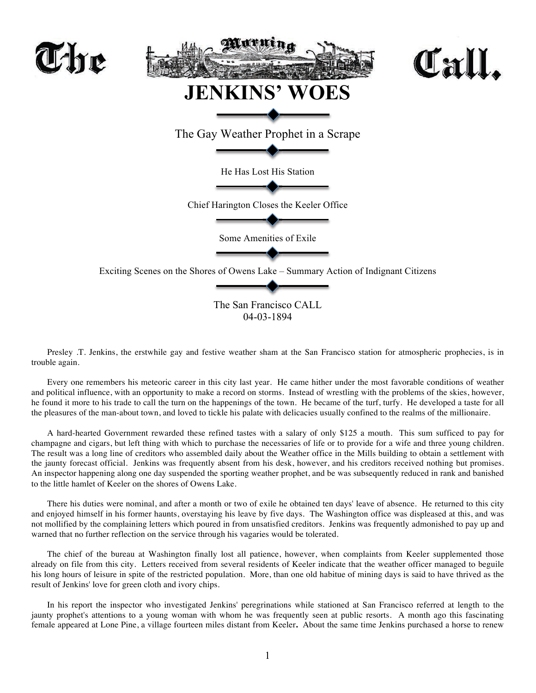

Presley .T. Jenkins, the erstwhile gay and festive weather sham at the San Francisco station for atmospheric prophecies, is in trouble again.

Every one remembers his meteoric career in this city last year. He came hither under the most favorable conditions of weather and political influence, with an opportunity to make a record on storms. Instead of wrestling with the problems of the skies, however, he found it more to his trade to call the turn on the happenings of the town. He became of the turf, turfy. He developed a taste for all the pleasures of the man-about town, and loved to tickle his palate with delicacies usually confined to the realms of the millionaire.

A hard-hearted Government rewarded these refined tastes with a salary of only \$125 a mouth. This sum sufficed to pay for champagne and cigars, but left thing with which to purchase the necessaries of life or to provide for a wife and three young children. The result was a long line of creditors who assembled daily about the Weather office in the Mills building to obtain a settlement with the jaunty forecast official. Jenkins was frequently absent from his desk, however, and his creditors received nothing but promises. An inspector happening along one day suspended the sporting weather prophet, and be was subsequently reduced in rank and banished to the little hamlet of Keeler on the shores of Owens Lake.

There his duties were nominal, and after a month or two of exile he obtained ten days' leave of absence. He returned to this city and enjoyed himself in his former haunts, overstaying his leave by five days. The Washington office was displeased at this, and was not mollified by the complaining letters which poured in from unsatisfied creditors. Jenkins was frequently admonished to pay up and warned that no further reflection on the service through his vagaries would be tolerated.

The chief of the bureau at Washington finally lost all patience, however, when complaints from Keeler supplemented those already on file from this city. Letters received from several residents of Keeler indicate that the weather officer managed to beguile his long hours of leisure in spite of the restricted population. More, than one old habitue of mining days is said to have thrived as the result of Jenkins' love for green cloth and ivory chips.

In his report the inspector who investigated Jenkins' peregrinations while stationed at San Francisco referred at length to the jaunty prophet's attentions to a young woman with whom he was frequently seen at public resorts. A month ago this fascinating female appeared at Lone Pine, a village fourteen miles distant from Keeler**.** About the same time Jenkins purchased a horse to renew